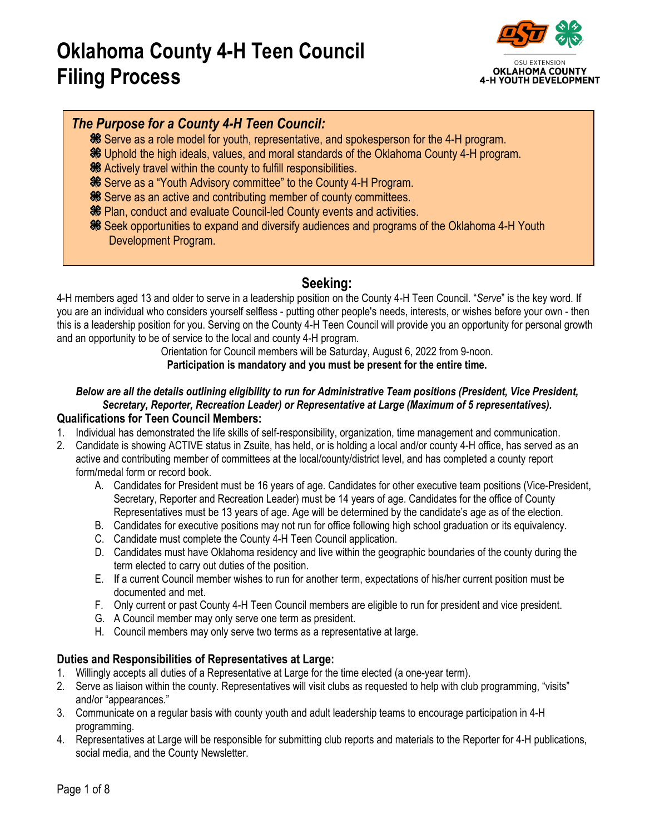# **Oklahoma County 4-H Teen Council Filing Process**



# *The Purpose for a County 4-H Teen Council:*

- **SE Serve as a role model for youth, representative, and spokesperson for the 4-H program.**
- **<sup>36</sup>** Uphold the high ideals, values, and moral standards of the Oklahoma County 4-H program.
- **<sup>36</sup>** Actively travel within the county to fulfill responsibilities.
- Serve as a "Youth Advisory committee" to the County 4-H Program.
- **Serve as an active and contributing member of county committees.**
- **<sup>86</sup>** Plan, conduct and evaluate Council-led County events and activities.
- Seek opportunities to expand and diversify audiences and programs of the Oklahoma 4-H Youth Development Program.

# **Seeking:**

4-H members aged 13 and older to serve in a leadership position on the County 4-H Teen Council. "*Serve*" is the key word. If you are an individual who considers yourself selfless - putting other people's needs, interests, or wishes before your own - then this is a leadership position for you. Serving on the County 4-H Teen Council will provide you an opportunity for personal growth and an opportunity to be of service to the local and county 4-H program.

Orientation for Council members will be Saturday, August 6, 2022 from 9-noon.

#### **Participation is mandatory and you must be present for the entire time.**

# *Below are all the details outlining eligibility to run for Administrative Team positions (President, Vice President, Secretary, Reporter, Recreation Leader) or Representative at Large (Maximum of 5 representatives).*

- **Qualifications for Teen Council Members:**<br>1. Individual has demonstrated the life skills of self-responsibility, organization, time management and communication.
- 2. Candidate is showing ACTIVE status in Zsuite, has held, or is holding a local and/or county 4-H office, has served as an active and contributing member of committees at the local/county/district level, and has completed a county report form/medal form or record book.
	- A. Candidates for President must be 16 years of age. Candidates for other executive team positions (Vice-President, Secretary, Reporter and Recreation Leader) must be 14 years of age. Candidates for the office of County Representatives must be 13 years of age. Age will be determined by the candidate's age as of the election.
	- B. Candidates for executive positions may not run for office following high school graduation or its equivalency.
	- C. Candidate must complete the County 4-H Teen Council application.
	- D. Candidates must have Oklahoma residency and live within the geographic boundaries of the county during the term elected to carry out duties of the position.
	- E. If a current Council member wishes to run for another term, expectations of his/her current position must be documented and met.
	- F. Only current or past County 4-H Teen Council members are eligible to run for president and vice president.
	- G. A Council member may only serve one term as president.
	- H. Council members may only serve two terms as a representative at large.

### **Duties and Responsibilities of Representatives at Large:**

- 1. Willingly accepts all duties of a Representative at Large for the time elected (a one-year term).
- 2. Serve as liaison within the county. Representatives will visit clubs as requested to help with club programming, "visits" and/or "appearances."
- 3. Communicate on a regular basis with county youth and adult leadership teams to encourage participation in 4-H programming.
- 4. Representatives at Large will be responsible for submitting club reports and materials to the Reporter for 4-H publications, social media, and the County Newsletter.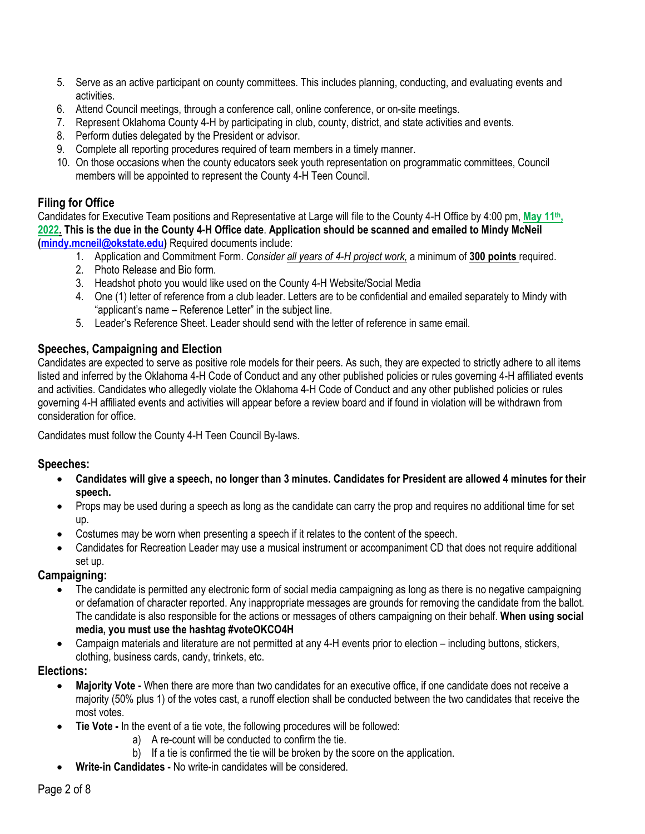- 5. Serve as an active participant on county committees. This includes planning, conducting, and evaluating events and activities.
- 6. Attend Council meetings, through a conference call, online conference, or on-site meetings.
- 7. Represent Oklahoma County 4-H by participating in club, county, district, and state activities and events.
- 8. Perform duties delegated by the President or advisor.
- 9. Complete all reporting procedures required of team members in a timely manner.
- 10. On those occasions when the county educators seek youth representation on programmatic committees, Council members will be appointed to represent the County 4-H Teen Council.

#### **Filing for Office**

Candidates for Executive Team positions and Representative at Large will file to the County 4-H Office by 4:00 pm, **May 11th, 2022. This is the due in the County 4-H Office date**. **Application should be scanned and emailed to Mindy McNeil [\(mindy.mcneil@okstate.edu\)](mailto:mindy.mcneil@okstate.edu)** Required documents include:

- 1. Application and Commitment Form. *Consider all years of 4-H project work,* a minimum of **300 points** required.
- 2. Photo Release and Bio form.
- 3. Headshot photo you would like used on the County 4-H Website/Social Media
- 4. One (1) letter of reference from a club leader. Letters are to be confidential and emailed separately to Mindy with "applicant's name – Reference Letter" in the subject line.
- 5. Leader's Reference Sheet. Leader should send with the letter of reference in same email.

#### **Speeches, Campaigning and Election**

Candidates are expected to serve as positive role models for their peers. As such, they are expected to strictly adhere to all items listed and inferred by the Oklahoma 4-H Code of Conduct and any other published policies or rules governing 4-H affiliated events and activities. Candidates who allegedly violate the Oklahoma 4-H Code of Conduct and any other published policies or rules governing 4-H affiliated events and activities will appear before a review board and if found in violation will be withdrawn from consideration for office.

Candidates must follow the County 4-H Teen Council By-laws.

#### **Speeches:**

- **Candidates will give a speech, no longer than 3 minutes. Candidates for President are allowed 4 minutes for their speech.**
- Props may be used during a speech as long as the candidate can carry the prop and requires no additional time for set up.
- Costumes may be worn when presenting a speech if it relates to the content of the speech.
- Candidates for Recreation Leader may use a musical instrument or accompaniment CD that does not require additional set up.

#### **Campaigning:**

- The candidate is permitted any electronic form of social media campaigning as long as there is no negative campaigning or defamation of character reported. Any inappropriate messages are grounds for removing the candidate from the ballot. The candidate is also responsible for the actions or messages of others campaigning on their behalf. **When using social media, you must use the hashtag #voteOKCO4H**
- Campaign materials and literature are not permitted at any 4-H events prior to election including buttons, stickers, clothing, business cards, candy, trinkets, etc.

#### **Elections:**

- **Majority Vote -** When there are more than two candidates for an executive office, if one candidate does not receive a majority (50% plus 1) of the votes cast, a runoff election shall be conducted between the two candidates that receive the most votes.
- **Tie Vote -** In the event of a tie vote, the following procedures will be followed:
	- a) A re-count will be conducted to confirm the tie.
	- b) If a tie is confirmed the tie will be broken by the score on the application.
- **Write-in Candidates -** No write-in candidates will be considered.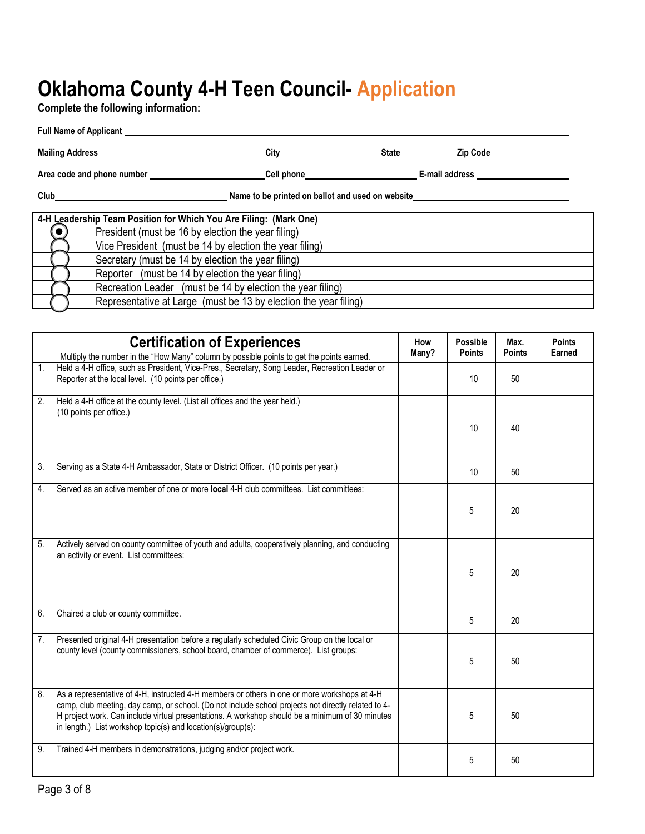# **Oklahoma County 4-H Teen Council- Application**

**Complete the following information:** 

|                                                              | Full Name of Applicant                                            |                       |  |                                                 |  |
|--------------------------------------------------------------|-------------------------------------------------------------------|-----------------------|--|-------------------------------------------------|--|
| Mailing Address Management of the Mailing Address            |                                                                   | <b>City City City</b> |  | State <b>Zip Code</b>                           |  |
| Area code and phone number <b>expansion</b> and phone number |                                                                   |                       |  | Cell phone <b>E-mail address</b> E-mail address |  |
| Name to be printed on ballot and used on website             |                                                                   |                       |  |                                                 |  |
|                                                              | 4-H Leadership Team Position for Which You Are Filing: (Mark One) |                       |  |                                                 |  |
|                                                              | President (must be 16 by election the year filing)                |                       |  |                                                 |  |
|                                                              | Vice President (must be 14 by election the year filing)           |                       |  |                                                 |  |
|                                                              | Secretary (must be 14 by election the year filing)                |                       |  |                                                 |  |
|                                                              | Reporter (must be 14 by election the year filing)                 |                       |  |                                                 |  |
|                                                              | Recreation Leader (must be 14 by election the year filing)        |                       |  |                                                 |  |
|                                                              | Representative at Large (must be 13 by election the year filing)  |                       |  |                                                 |  |

|                | <b>Certification of Experiences</b>                                                                                                                                                                                                                                                                                                                                    | How<br>Many? | <b>Possible</b><br><b>Points</b> | Max.<br><b>Points</b> | <b>Points</b><br>Earned |
|----------------|------------------------------------------------------------------------------------------------------------------------------------------------------------------------------------------------------------------------------------------------------------------------------------------------------------------------------------------------------------------------|--------------|----------------------------------|-----------------------|-------------------------|
|                | Multiply the number in the "How Many" column by possible points to get the points earned.                                                                                                                                                                                                                                                                              |              |                                  |                       |                         |
| 1 <sup>1</sup> | Held a 4-H office, such as President, Vice-Pres., Secretary, Song Leader, Recreation Leader or<br>Reporter at the local level. (10 points per office.)                                                                                                                                                                                                                 |              | 10                               | 50                    |                         |
| 2.             | Held a 4-H office at the county level. (List all offices and the year held.)<br>(10 points per office.)                                                                                                                                                                                                                                                                |              | 10                               | 40                    |                         |
| 3.             | Serving as a State 4-H Ambassador, State or District Officer. (10 points per year.)                                                                                                                                                                                                                                                                                    |              | 10                               | 50                    |                         |
| 4.             | Served as an active member of one or more local 4-H club committees. List committees:                                                                                                                                                                                                                                                                                  |              | 5                                | 20                    |                         |
| 5.             | Actively served on county committee of youth and adults, cooperatively planning, and conducting<br>an activity or event. List committees:                                                                                                                                                                                                                              |              | 5                                | 20                    |                         |
| 6.             | Chaired a club or county committee.                                                                                                                                                                                                                                                                                                                                    |              | 5                                | 20                    |                         |
| 7.             | Presented original 4-H presentation before a regularly scheduled Civic Group on the local or<br>county level (county commissioners, school board, chamber of commerce). List groups:                                                                                                                                                                                   |              | 5                                | 50                    |                         |
| 8.             | As a representative of 4-H, instructed 4-H members or others in one or more workshops at 4-H<br>camp, club meeting, day camp, or school. (Do not include school projects not directly related to 4-<br>H project work. Can include virtual presentations. A workshop should be a minimum of 30 minutes<br>in length.) List workshop topic(s) and location(s)/group(s): |              | 5                                | 50                    |                         |
| 9.             | Trained 4-H members in demonstrations, judging and/or project work.                                                                                                                                                                                                                                                                                                    |              | 5                                | 50                    |                         |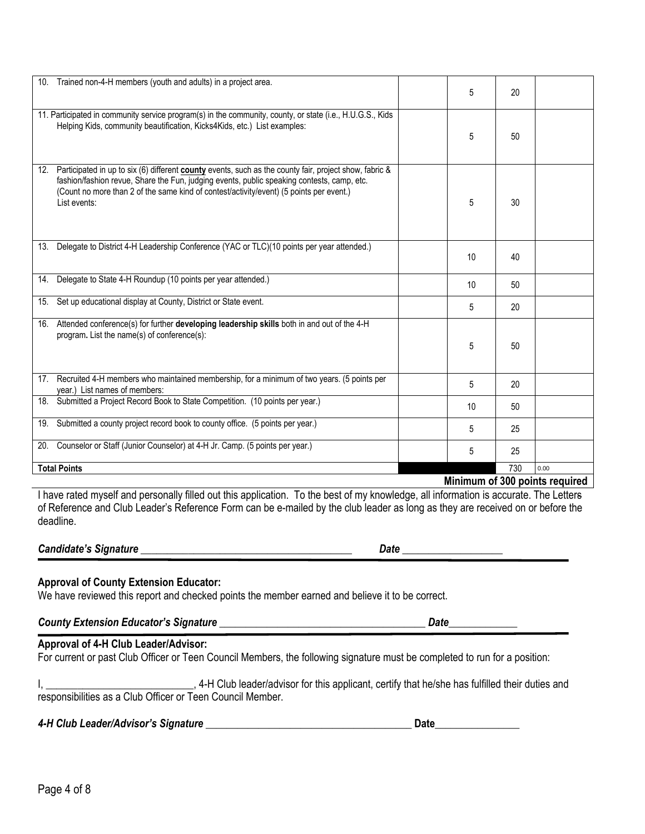| 10. Trained non-4-H members (youth and adults) in a project area.                                                                                                                                                                                                                                                   | 5  | 20  |      |
|---------------------------------------------------------------------------------------------------------------------------------------------------------------------------------------------------------------------------------------------------------------------------------------------------------------------|----|-----|------|
| 11. Participated in community service program(s) in the community, county, or state (i.e., H.U.G.S., Kids<br>Helping Kids, community beautification, Kicks4Kids, etc.) List examples:                                                                                                                               | 5  | 50  |      |
| 12. Participated in up to six (6) different county events, such as the county fair, project show, fabric &<br>fashion/fashion revue, Share the Fun, judging events, public speaking contests, camp, etc.<br>(Count no more than 2 of the same kind of contest/activity/event) (5 points per event.)<br>List events: | 5  | 30  |      |
| 13. Delegate to District 4-H Leadership Conference (YAC or TLC)(10 points per year attended.)                                                                                                                                                                                                                       | 10 | 40  |      |
| Delegate to State 4-H Roundup (10 points per year attended.)<br>14.                                                                                                                                                                                                                                                 | 10 | 50  |      |
| 15. Set up educational display at County, District or State event.                                                                                                                                                                                                                                                  | 5  | 20  |      |
| 16. Attended conference(s) for further developing leadership skills both in and out of the 4-H<br>program. List the name(s) of conference(s):                                                                                                                                                                       | 5  | 50  |      |
| 17. Recruited 4-H members who maintained membership, for a minimum of two years. (5 points per<br>year.) List names of members:                                                                                                                                                                                     | 5  | 20  |      |
| 18. Submitted a Project Record Book to State Competition. (10 points per year.)                                                                                                                                                                                                                                     | 10 | 50  |      |
| 19. Submitted a county project record book to county office. (5 points per year.)                                                                                                                                                                                                                                   | 5  | 25  |      |
| 20. Counselor or Staff (Junior Counselor) at 4-H Jr. Camp. (5 points per year.)                                                                                                                                                                                                                                     | 5  | 25  |      |
| <b>Total Points</b>                                                                                                                                                                                                                                                                                                 |    | 730 | 0.00 |

**Minimum of 300 points required** 

I have rated myself and personally filled out this application. To the best of my knowledge, all information is accurate. The Letters of Reference and Club Leader's Reference Form can be e-mailed by the club leader as long as they are received on or before the deadline.

#### *Candidate's Signature* \_\_\_\_\_\_\_\_\_\_\_\_\_\_\_\_\_\_\_\_\_\_\_\_\_\_\_\_\_\_\_\_\_\_\_\_\_\_\_\_ *Date* \_\_\_\_\_\_\_\_\_\_\_\_\_\_\_\_\_\_\_

#### **Approval of County Extension Educator:**

We have reviewed this report and checked points the member earned and believe it to be correct.

### *County Extension Educator's Signature* \_\_\_\_\_\_\_\_\_\_\_\_\_\_\_\_\_\_\_\_\_\_\_\_\_\_\_\_\_\_\_\_\_\_\_\_\_\_\_ *Date*\_\_\_\_\_\_\_\_\_\_\_\_\_ **Approval of 4-H Club Leader/Advisor:**

For current or past Club Officer or Teen Council Members, the following signature must be completed to run for a position:

I, \_\_\_\_\_\_\_\_\_\_\_\_\_\_\_\_\_\_\_\_\_\_\_\_\_\_\_\_\_\_\_\_\_\_, 4-H Club leader/advisor for this applicant, certify that he/she has fulfilled their duties and responsibilities as a Club Officer or Teen Council Member.

# *4-H Club Leader/Advisor's Signature* \_\_\_\_\_\_\_\_\_\_\_\_\_\_\_\_\_\_\_\_\_\_\_\_\_\_\_\_\_\_\_\_\_\_\_\_\_\_\_ **Date**\_\_\_\_\_\_\_\_\_\_\_\_\_\_\_\_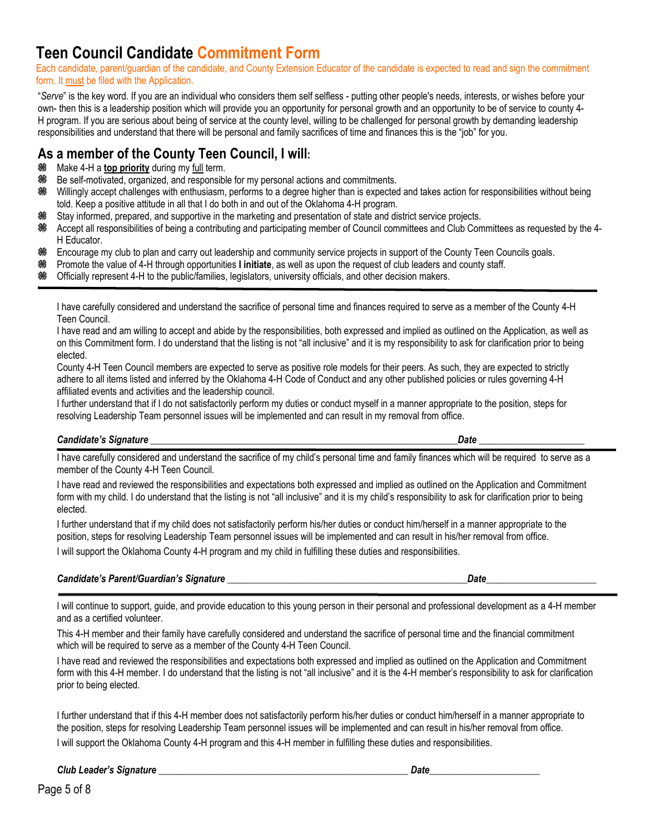# **Teen Council Candidate Commitment Form**

Each candidate, parent/guardian of the candidate, and County Extension Educator of the candidate is expected to read and sign the commitment form. It must be filed with the Application.

"*Serve*" is the key word. If you are an individual who considers them self selfless - putting other people's needs, interests, or wishes before your own- then this is a leadership position which will provide you an opportunity for personal growth and an opportunity to be of service to county 4- H program. If you are serious about being of service at the county level, willing to be challenged for personal growth by demanding leadership responsibilities and understand that there will be personal and family sacrifices of time and finances this is the "job" for you.

# **As a member of the County Teen Council, I will:**

- Make 4-H a **top priority** during my full term. 86
- **%** Be self-motivated, organized, and responsible for my personal actions and commitments.
- 86 Willingly accept challenges with enthusiasm, performs to a degree higher than is expected and takes action for responsibilities without being told. Keep a positive attitude in all that I do both in and out of the Oklahoma 4-H program.
- Stay informed, prepared, and supportive in the marketing and presentation of state and district service projects.
- 86 Accept all responsibilities of being a contributing and participating member of Council committees and Club Committees as requested by the 4- H Educator.
- 翁 Encourage my club to plan and carry out leadership and community service projects in support of the County Teen Councils goals.
- 器 Promote the value of 4-H through opportunities **I initiate**, as well as upon the request of club leaders and county staff.
- Officially represent 4-H to the public/families, legislators, university officials, and other decision makers.

I have carefully considered and understand the sacrifice of personal time and finances required to serve as a member of the County 4-H Teen Council.

I have read and am willing to accept and abide by the responsibilities, both expressed and implied as outlined on the Application, as well as on this Commitment form. I do understand that the listing is not "all inclusive" and it is my responsibility to ask for clarification prior to being elected.

County 4-H Teen Council members are expected to serve as positive role models for their peers. As such, they are expected to strictly adhere to all items listed and inferred by the Oklahoma 4-H Code of Conduct and any other published policies or rules governing 4-H affiliated events and activities and the leadership council.

I further understand that if I do not satisfactorily perform my duties or conduct myself in a manner appropriate to the position, steps for resolving Leadership Team personnel issues will be implemented and can result in my removal from office.

#### *Candidate's Signature* \_\_\_\_\_\_\_\_\_\_\_\_\_\_\_\_\_\_\_\_\_\_\_\_\_\_\_\_\_\_\_\_\_\_\_\_\_\_\_\_\_\_\_\_\_\_\_\_\_\_\_\_\_\_\_\_\_\_\_\_\_\_\_\_*Date* \_\_\_\_\_\_\_\_\_\_\_\_\_\_\_\_\_\_\_\_\_\_

I have carefully considered and understand the sacrifice of my child's personal time and family finances which will be required to serve as a member of the County 4-H Teen Council.

I have read and reviewed the responsibilities and expectations both expressed and implied as outlined on the Application and Commitment form with my child. I do understand that the listing is not "all inclusive" and it is my child's responsibility to ask for clarification prior to being elected.

I further understand that if my child does not satisfactorily perform his/her duties or conduct him/herself in a manner appropriate to the position, steps for resolving Leadership Team personnel issues will be implemented and can result in his/her removal from office. I will support the Oklahoma County 4-H program and my child in fulfilling these duties and responsibilities.

#### *Candidate's Parent/Guardian's Signature \_\_\_\_\_\_\_\_\_\_\_\_\_\_\_\_\_\_\_\_\_\_\_\_\_\_\_\_\_\_\_\_\_\_\_\_\_\_\_\_\_\_\_\_\_\_\_\_\_\_Date*\_\_\_\_\_\_\_\_\_\_\_\_\_\_\_\_\_\_\_\_\_\_\_

I will continue to support, guide, and provide education to this young person in their personal and professional development as a 4-H member and as a certified volunteer.

This 4-H member and their family have carefully considered and understand the sacrifice of personal time and the financial commitment which will be required to serve as a member of the County 4-H Teen Council.

I have read and reviewed the responsibilities and expectations both expressed and implied as outlined on the Application and Commitment form with this 4-H member. I do understand that the listing is not "all inclusive" and it is the 4-H member's responsibility to ask for clarification prior to being elected.

I further understand that if this 4-H member does not satisfactorily perform his/her duties or conduct him/herself in a manner appropriate to the position, steps for resolving Leadership Team personnel issues will be implemented and can result in his/her removal from office. I will support the Oklahoma County 4-H program and this 4-H member in fulfilling these duties and responsibilities.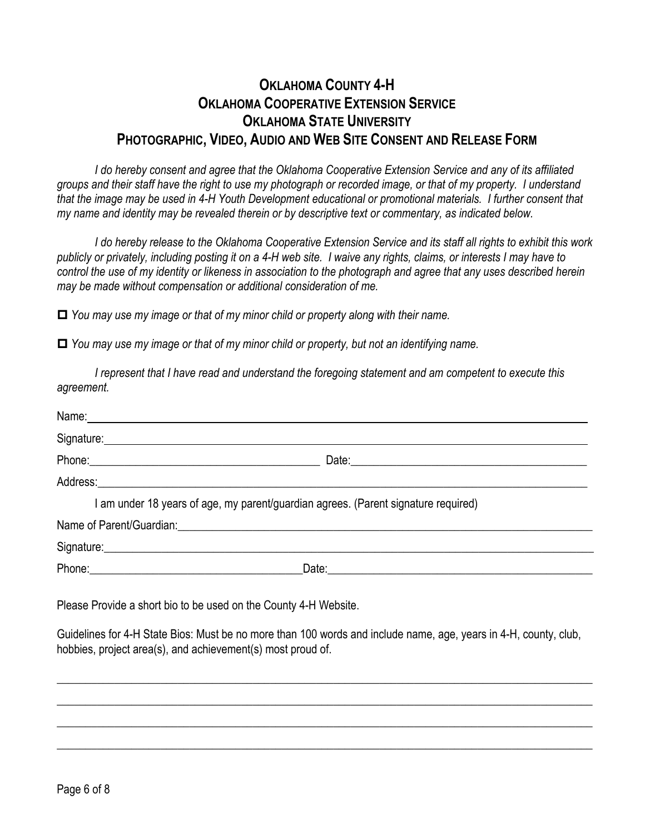# **OKLAHOMA COUNTY 4-H OKLAHOMA COOPERATIVE EXTENSION SERVICE OKLAHOMA STATE UNIVERSITY PHOTOGRAPHIC, VIDEO, AUDIO AND WEB SITE CONSENT AND RELEASE FORM**

*I do hereby consent and agree that the Oklahoma Cooperative Extension Service and any of its affiliated groups and their staff have the right to use my photograph or recorded image, or that of my property. I understand that the image may be used in 4-H Youth Development educational or promotional materials. I further consent that my name and identity may be revealed therein or by descriptive text or commentary, as indicated below.*

*I do hereby release to the Oklahoma Cooperative Extension Service and its staff all rights to exhibit this work publicly or privately, including posting it on a 4-H web site. I waive any rights, claims, or interests I may have to control the use of my identity or likeness in association to the photograph and agree that any uses described herein may be made without compensation or additional consideration of me.*

*You may use my image or that of my minor child or property along with their name.*

*You may use my image or that of my minor child or property, but not an identifying name.*

*I represent that I have read and understand the foregoing statement and am competent to execute this agreement.*

| Name: Name: Name and All Contract Contract Contract Contract Contract Contract Contract Contract Contract Contract Contract Contract Contract Contract Contract Contract Contract Contract Contract Contract Contract Contract       |
|--------------------------------------------------------------------------------------------------------------------------------------------------------------------------------------------------------------------------------------|
| Signature: <u>Communications and Communications and Communications and Communications and Communications and Communications and Communications and Communications and Communications and Communications and Communications and C</u> |
|                                                                                                                                                                                                                                      |
|                                                                                                                                                                                                                                      |
| I am under 18 years of age, my parent/guardian agrees. (Parent signature required)                                                                                                                                                   |
| Name of Parent/Guardian: Name of Parent/Guardian:                                                                                                                                                                                    |
| Signature: <u>Contract of the Contract of the Contract of the Contract of the Contract of the Contract of the Contract of the Contract of the Contract of the Contract of the Contract of the Contract of the Contract of the Co</u> |
|                                                                                                                                                                                                                                      |
| Please Provide a short bio to be used on the County 4-H Website.                                                                                                                                                                     |
| Guidelines for 4-H State Bios: Must be no more than 100 words and include name, age, years in 4-H, county, club,<br>hobbies, project area(s), and achievement(s) most proud of.                                                      |
|                                                                                                                                                                                                                                      |
|                                                                                                                                                                                                                                      |
|                                                                                                                                                                                                                                      |
|                                                                                                                                                                                                                                      |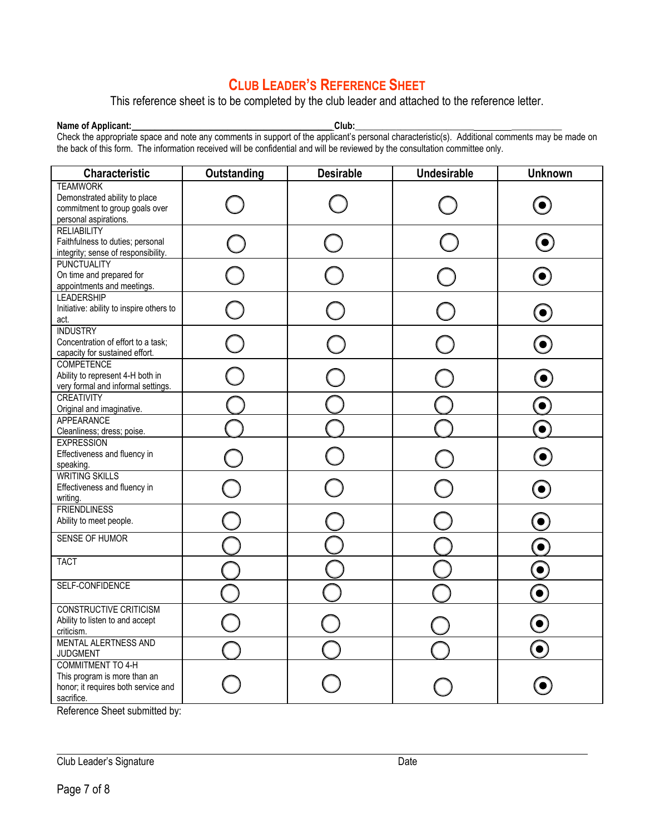# **CLUB LEADER'S REFERENCE SHEET**

This reference sheet is to be completed by the club leader and attached to the reference letter.

**Name of Applicant: \_\_\_\_\_\_\_\_\_\_\_\_\_\_\_\_\_\_\_\_\_\_\_\_\_\_\_\_\_\_\_\_\_\_\_\_\_\_\_\_\_\_\_\_ Club:\_\_\_\_\_\_\_\_\_\_\_\_\_\_\_\_\_\_\_\_\_\_\_\_\_\_ \_\_\_\_\_\_\_\_\_\_\_**  Check the appropriate space and note any comments in support of the applicant's personal characteristic(s). Additional comments may be made on the back of this form. The information received will be confidential and will be reviewed by the consultation committee only.

| <b>Characteristic</b>                                                                                         | Outstanding | <b>Desirable</b> | <b>Undesirable</b> | <b>Unknown</b> |
|---------------------------------------------------------------------------------------------------------------|-------------|------------------|--------------------|----------------|
| <b>TEAMWORK</b><br>Demonstrated ability to place<br>commitment to group goals over<br>personal aspirations.   |             |                  |                    |                |
| <b>RELIABILITY</b><br>Faithfulness to duties; personal<br>integrity; sense of responsibility.                 |             |                  |                    |                |
| <b>PUNCTUALITY</b><br>On time and prepared for<br>appointments and meetings.                                  |             |                  |                    |                |
| <b>LEADERSHIP</b><br>Initiative: ability to inspire others to<br>act.                                         |             |                  |                    | $\bullet$      |
| <b>INDUSTRY</b><br>Concentration of effort to a task;<br>capacity for sustained effort.                       |             |                  |                    |                |
| <b>COMPETENCE</b><br>Ability to represent 4-H both in<br>very formal and informal settings.                   |             |                  |                    |                |
| <b>CREATIVITY</b><br>Original and imaginative.                                                                |             |                  |                    | $\bullet$      |
| APPEARANCE<br>Cleanliness; dress; poise.                                                                      |             |                  |                    |                |
| <b>EXPRESSION</b><br>Effectiveness and fluency in<br>speaking.                                                |             |                  |                    | $\bullet$      |
| <b>WRITING SKILLS</b><br>Effectiveness and fluency in<br>writing.                                             |             |                  |                    | $\bullet$      |
| <b>FRIENDLINESS</b><br>Ability to meet people.                                                                |             |                  |                    | $\bullet$      |
| SENSE OF HUMOR                                                                                                |             |                  |                    | $\bullet$      |
| <b>TACT</b>                                                                                                   |             |                  |                    | $\bullet$      |
| SELF-CONFIDENCE                                                                                               |             |                  |                    |                |
| <b>CONSTRUCTIVE CRITICISM</b><br>Ability to listen to and accept<br>criticism.                                |             |                  |                    | $\bullet$      |
| <b>MENTAL ALERTNESS AND</b><br><b>JUDGMENT</b>                                                                |             |                  |                    | $\bullet$      |
| <b>COMMITMENT TO 4-H</b><br>This program is more than an<br>honor; it requires both service and<br>sacrifice. |             |                  |                    |                |

Reference Sheet submitted by: